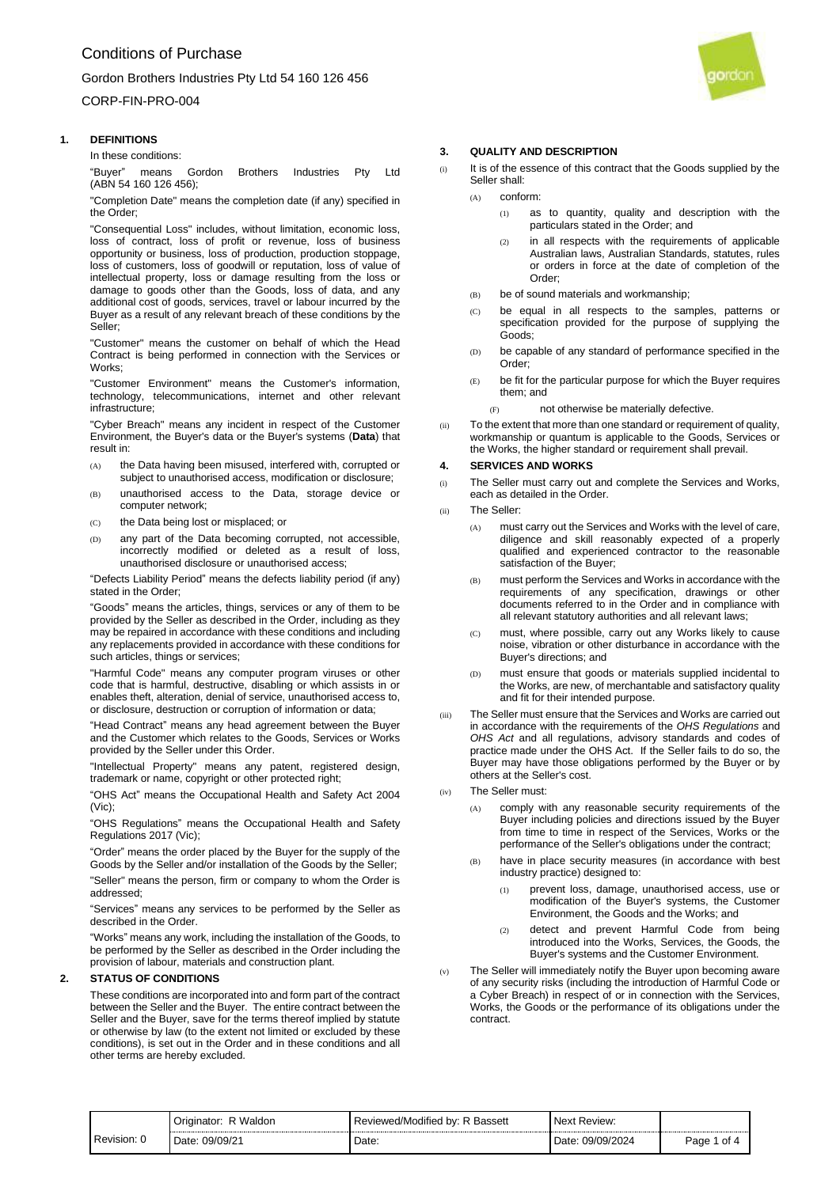# CORP-FIN-PRO-004

# **1. DEFINITIONS**

In these conditions:

"Buyer" means Gordon Brothers Industries Pty Ltd (ABN 54 160 126 456);

"Completion Date" means the completion date (if any) specified in the Order;

"Consequential Loss" includes, without limitation, economic loss, loss of contract, loss of profit or revenue, loss of business opportunity or business, loss of production, production stoppage, loss of customers, loss of goodwill or reputation, loss of value of intellectual property, loss or damage resulting from the loss or damage to goods other than the Goods, loss of data, and any additional cost of goods, services, travel or labour incurred by the Buyer as a result of any relevant breach of these conditions by the Seller;

"Customer" means the customer on behalf of which the Head Contract is being performed in connection with the Services or Works;

"Customer Environment" means the Customer's information, technology, telecommunications, internet and other relevant infrastructure;

"Cyber Breach" means any incident in respect of the Customer Environment, the Buyer's data or the Buyer's systems (**Data**) that result in:

- (A) the Data having been misused, interfered with, corrupted or subject to unauthorised access, modification or disclosure;
- (B) unauthorised access to the Data, storage device or computer network;
- (C) the Data being lost or misplaced; or
- (D) any part of the Data becoming corrupted, not accessible, incorrectly modified or deleted as a result of loss, unauthorised disclosure or unauthorised access;

"Defects Liability Period" means the defects liability period (if any) stated in the Order;

"Goods" means the articles, things, services or any of them to be provided by the Seller as described in the Order, including as they may be repaired in accordance with these conditions and including any replacements provided in accordance with these conditions for such articles, things or services;

"Harmful Code" means any computer program viruses or other code that is harmful, destructive, disabling or which assists in or enables theft, alteration, denial of service, unauthorised access to, or disclosure, destruction or corruption of information or data;

"Head Contract" means any head agreement between the Buyer and the Customer which relates to the Goods, Services or Works provided by the Seller under this Order.

"Intellectual Property" means any patent, registered design, trademark or name, copyright or other protected right;

"OHS Act" means the Occupational Health and Safety Act 2004 (Vic);

"OHS Regulations" means the Occupational Health and Safety Regulations 2017 (Vic);

"Order" means the order placed by the Buyer for the supply of the Goods by the Seller and/or installation of the Goods by the Seller;

"Seller" means the person, firm or company to whom the Order is addressed;

"Services" means any services to be performed by the Seller as described in the Order.

"Works" means any work, including the installation of the Goods, to be performed by the Seller as described in the Order including the provision of labour, materials and construction plant.

# **2. STATUS OF CONDITIONS**

These conditions are incorporated into and form part of the contract between the Seller and the Buyer. The entire contract between the Seller and the Buyer, save for the terms thereof implied by statute or otherwise by law (to the extent not limited or excluded by these conditions), is set out in the Order and in these conditions and all other terms are hereby excluded.

# aordar

## <span id="page-0-0"></span>**3. QUALITY AND DESCRIPTION**

- (i) It is of the essence of this contract that the Goods supplied by the Seller shall:
	- (A) conform:
		- (1) as to quantity, quality and description with the particulars stated in the Order; and
		- (2) in all respects with the requirements of applicable Australian laws, Australian Standards, statutes, rules or orders in force at the date of completion of the Order;
	- (B) be of sound materials and workmanship;
	- (C) be equal in all respects to the samples, patterns or specification provided for the purpose of supplying the Goods;
	- (D) be capable of any standard of performance specified in the Order;
	- (E) be fit for the particular purpose for which the Buyer requires them; and
		- (F) not otherwise be materially defective.
- (ii) To the extent that more than one standard or requirement of quality, workmanship or quantum is applicable to the Goods, Services or the Works, the higher standard or requirement shall prevail.

#### <span id="page-0-1"></span>**4. SERVICES AND WORKS**

- (i) The Seller must carry out and complete the Services and Works, each as detailed in the Order.
- (ii) The Seller:
	- (A) must carry out the Services and Works with the level of care, diligence and skill reasonably expected of a properly qualified and experienced contractor to the reasonable satisfaction of the Buyer;
	- (B) must perform the Services and Works in accordance with the requirements of any specification, drawings or other documents referred to in the Order and in compliance with all relevant statutory authorities and all relevant laws;
	- (C) must, where possible, carry out any Works likely to cause noise, vibration or other disturbance in accordance with the Buyer's directions; and
	- (D) must ensure that goods or materials supplied incidental to the Works, are new, of merchantable and satisfactory quality and fit for their intended purpose.
- (iii) The Seller must ensure that the Services and Works are carried out in accordance with the requirements of the *OHS Regulations* and *OHS Act* and all regulations, advisory standards and codes of practice made under the OHS Act. If the Seller fails to do so, the Buyer may have those obligations performed by the Buyer or by others at the Seller's cost.
- <span id="page-0-2"></span>(iv) The Seller must:
	- (A) comply with any reasonable security requirements of the Buyer including policies and directions issued by the Buyer from time to time in respect of the Services, Works or the performance of the Seller's obligations under the contract;
	- (B) have in place security measures (in accordance with best industry practice) designed to:
		- (1) prevent loss, damage, unauthorised access, use or modification of the Buyer's systems, the Customer Environment, the Goods and the Works; and
		- (2) detect and prevent Harmful Code from being introduced into the Works, Services, the Goods, the Buyer's systems and the Customer Environment.
- <span id="page-0-3"></span>(v) The Seller will immediately notify the Buyer upon becoming aware of any security risks (including the introduction of Harmful Code or a Cyber Breach) in respect of or in connection with the Services, Works, the Goods or the performance of its obligations under the contract.

| Revision: C | ∽<br>Waldor<br>ator<br>Oric   | <b>Dooon</b> #<br>eviewed/Modified<br>bv:<br>. .<br>ייסטע | <i><b>Review:</b></i>     |                        |
|-------------|-------------------------------|-----------------------------------------------------------|---------------------------|------------------------|
|             | 09/09/21<br>⊃ate <sup>∙</sup> | ⊃ate:                                                     | 09/09/201<br>Date<br>2024 | anr<br>ot<br>au<br>. . |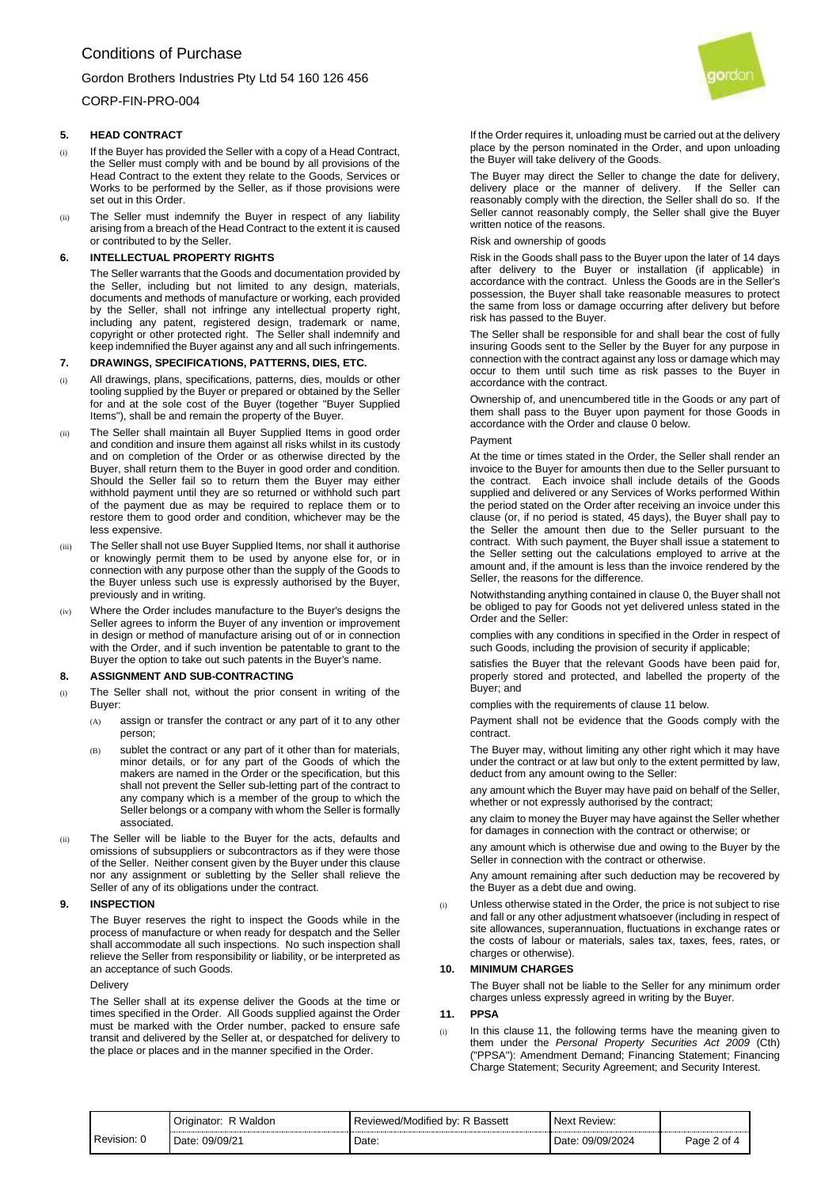CORP-FIN-PRO-004

# **5. HEAD CONTRACT**

- (i) If the Buyer has provided the Seller with a copy of a Head Contract, the Seller must comply with and be bound by all provisions of the Head Contract to the extent they relate to the Goods, Services or Works to be performed by the Seller, as if those provisions were set out in this Order.
- (ii) The Seller must indemnify the Buyer in respect of any liability arising from a breach of the Head Contract to the extent it is caused or contributed to by the Seller.

## **6. INTELLECTUAL PROPERTY RIGHTS**

The Seller warrants that the Goods and documentation provided by the Seller, including but not limited to any design, materials, documents and methods of manufacture or working, each provided by the Seller, shall not infringe any intellectual property right, including any patent, registered design, trademark or name, copyright or other protected right. The Seller shall indemnify and keep indemnified the Buyer against any and all such infringements.

# **7. DRAWINGS, SPECIFICATIONS, PATTERNS, DIES, ETC.**

- (i) All drawings, plans, specifications, patterns, dies, moulds or other tooling supplied by the Buyer or prepared or obtained by the Seller for and at the sole cost of the Buyer (together "Buyer Supplied Items"), shall be and remain the property of the Buyer.
- (ii) The Seller shall maintain all Buyer Supplied Items in good order and condition and insure them against all risks whilst in its custody and on completion of the Order or as otherwise directed by the Buyer, shall return them to the Buyer in good order and condition. Should the Seller fail so to return them the Buyer may either withhold payment until they are so returned or withhold such part of the payment due as may be required to replace them or to restore them to good order and condition, whichever may be the less expensive.
- (iii) The Seller shall not use Buyer Supplied Items, nor shall it authorise or knowingly permit them to be used by anyone else for, or in connection with any purpose other than the supply of the Goods to the Buyer unless such use is expressly authorised by the Buyer, previously and in writing.
- Where the Order includes manufacture to the Buyer's designs the Seller agrees to inform the Buyer of any invention or improvement in design or method of manufacture arising out of or in connection with the Order, and if such invention be patentable to grant to the Buyer the option to take out such patents in the Buyer's name.

#### **8. ASSIGNMENT AND SUB-CONTRACTING**

- (i) The Seller shall not, without the prior consent in writing of the Buyer:
	- (A) assign or transfer the contract or any part of it to any other person;
	- (B) sublet the contract or any part of it other than for materials, minor details, or for any part of the Goods of which the makers are named in the Order or the specification, but this shall not prevent the Seller sub-letting part of the contract to any company which is a member of the group to which the Seller belongs or a company with whom the Seller is formally associated.
- (ii) The Seller will be liable to the Buyer for the acts, defaults and omissions of subsuppliers or subcontractors as if they were those of the Seller. Neither consent given by the Buyer under this clause nor any assignment or subletting by the Seller shall relieve the Seller of any of its obligations under the contract.

#### **9. INSPECTION**

The Buyer reserves the right to inspect the Goods while in the process of manufacture or when ready for despatch and the Seller shall accommodate all such inspections. No such inspection shall relieve the Seller from responsibility or liability, or be interpreted as an acceptance of such Goods.

#### **Delivery**

The Seller shall at its expense deliver the Goods at the time or times specified in the Order. All Goods supplied against the Order must be marked with the Order number, packed to ensure safe transit and delivered by the Seller at, or despatched for delivery to the place or places and in the manner specified in the Order.



If the Order requires it, unloading must be carried out at the delivery place by the person nominated in the Order, and upon unloading the Buyer will take delivery of the Goods.

The Buyer may direct the Seller to change the date for delivery, delivery place or the manner of delivery. If the Seller can reasonably comply with the direction, the Seller shall do so. If the Seller cannot reasonably comply, the Seller shall give the Buyer written notice of the reasons.

Risk and ownership of goods

Risk in the Goods shall pass to the Buyer upon the later of 14 days after delivery to the Buyer or installation (if applicable) in accordance with the contract. Unless the Goods are in the Seller's possession, the Buyer shall take reasonable measures to protect the same from loss or damage occurring after delivery but before risk has passed to the Buyer.

The Seller shall be responsible for and shall bear the cost of fully insuring Goods sent to the Seller by the Buyer for any purpose in connection with the contract against any loss or damage which may occur to them until such time as risk passes to the Buyer in accordance with the contract.

Ownership of, and unencumbered title in the Goods or any part of them shall pass to the Buyer upon payment for those Goods in accordance with the Order and clause [0](#page-1-0) below.

#### <span id="page-1-0"></span>Payment

<span id="page-1-1"></span>At the time or times stated in the Order, the Seller shall render an invoice to the Buyer for amounts then due to the Seller pursuant to the contract. Each invoice shall include details of the Goods supplied and delivered or any Services of Works performed Within the period stated on the Order after receiving an invoice under this clause (or, if no period is stated, 45 days), the Buyer shall pay to the Seller the amount then due to the Seller pursuant to the contract. With such payment, the Buyer shall issue a statement to the Seller setting out the calculations employed to arrive at the amount and, if the amount is less than the invoice rendered by the Seller, the reasons for the difference.

Notwithstanding anything contained in clause [0,](#page-1-1) the Buyer shall not be obliged to pay for Goods not yet delivered unless stated in the Order and the Seller:

complies with any conditions in specified in the Order in respect of such Goods, including the provision of security if applicable;

satisfies the Buyer that the relevant Goods have been paid for, properly stored and protected, and labelled the property of the Buyer; and

complies with the requirements of clause [11](#page-1-2) below.

Payment shall not be evidence that the Goods comply with the contract.

The Buyer may, without limiting any other right which it may have under the contract or at law but only to the extent permitted by law, deduct from any amount owing to the Seller:

any amount which the Buyer may have paid on behalf of the Seller, whether or not expressly authorised by the contract;

any claim to money the Buyer may have against the Seller whether for damages in connection with the contract or otherwise; or

any amount which is otherwise due and owing to the Buyer by the Seller in connection with the contract or otherwise.

Any amount remaining after such deduction may be recovered by the Buyer as a debt due and owing.

(i) Unless otherwise stated in the Order, the price is not subject to rise and fall or any other adjustment whatsoever (including in respect of site allowances, superannuation, fluctuations in exchange rates or the costs of labour or materials, sales tax, taxes, fees, rates, or charges or otherwise).

## **10. MINIMUM CHARGES**

The Buyer shall not be liable to the Seller for any minimum order charges unless expressly agreed in writing by the Buyer.

# <span id="page-1-2"></span>**11. PPSA**

(i) In this clause [11,](#page-1-2) the following terms have the meaning given to them under the *Personal Property Securities Act 2009* (Cth) ("PPSA"): Amendment Demand; Financing Statement; Financing Charge Statement; Security Agreement; and Security Interest.

|           | <b>Waldon</b><br>Originator <sup>.</sup> | <br>. .<br>Reviewed/Modified by: R Bassett | Next Review:      |        |
|-----------|------------------------------------------|--------------------------------------------|-------------------|--------|
| Revision: | 09/09/21                                 | Date:                                      | 09/09/2024        | Page 2 |
|           | Date <sup>.</sup>                        |                                            | Date <sup>.</sup> | 2 of ∠ |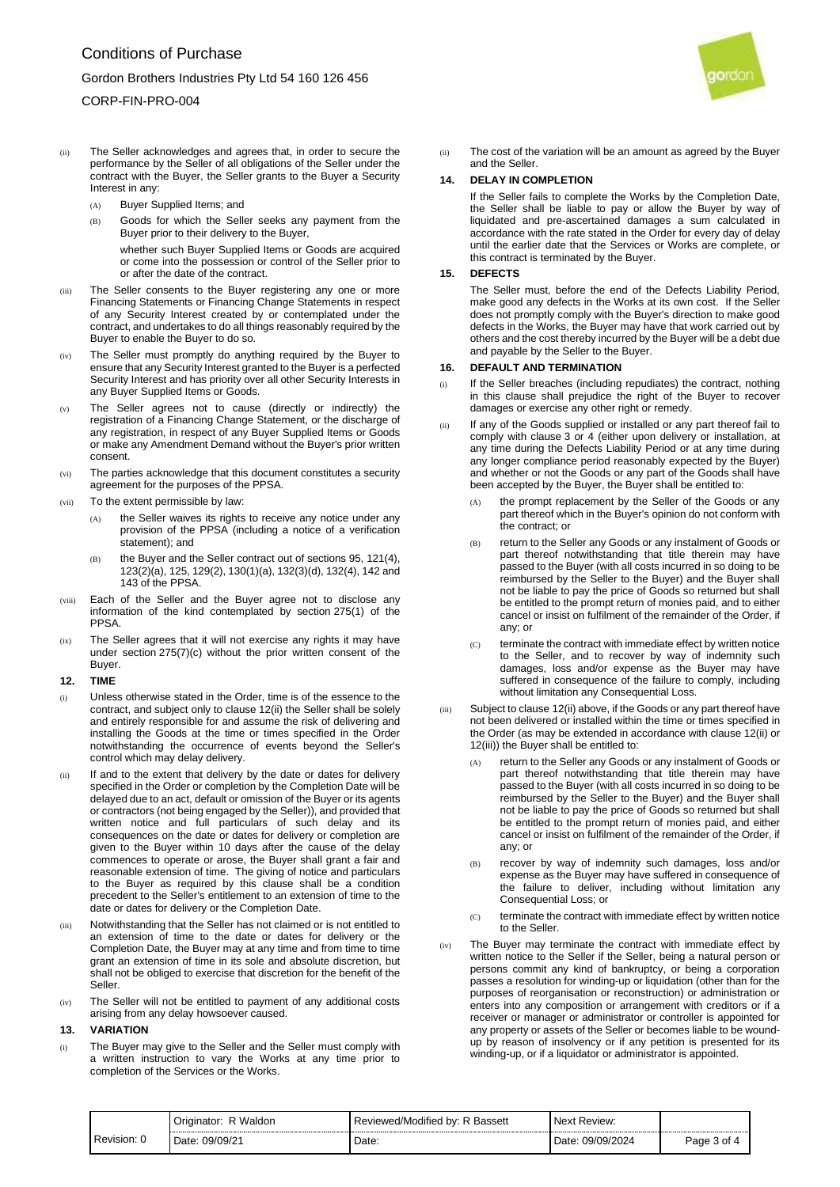# CORP-FIN-PRO-004

- (ii) The Seller acknowledges and agrees that, in order to secure the performance by the Seller of all obligations of the Seller under the contract with the Buyer, the Seller grants to the Buyer a Security Interest in any:
	- (A) Buyer Supplied Items; and
	- (B) Goods for which the Seller seeks any payment from the Buyer prior to their delivery to the Buyer,

whether such Buyer Supplied Items or Goods are acquired or come into the possession or control of the Seller prior to or after the date of the contract.

- (iii) The Seller consents to the Buyer registering any one or more Financing Statements or Financing Change Statements in respect of any Security Interest created by or contemplated under the contract, and undertakes to do all things reasonably required by the Buyer to enable the Buyer to do so.
- (iv) The Seller must promptly do anything required by the Buyer to ensure that any Security Interest granted to the Buyer is a perfected Security Interest and has priority over all other Security Interests in any Buyer Supplied Items or Goods.
- (v) The Seller agrees not to cause (directly or indirectly) the registration of a Financing Change Statement, or the discharge of any registration, in respect of any Buyer Supplied Items or Goods or make any Amendment Demand without the Buyer's prior written consent.
- (vi) The parties acknowledge that this document constitutes a security agreement for the purposes of the PPSA.
- (vii) To the extent permissible by law:
	- (A) the Seller waives its rights to receive any notice under any provision of the PPSA (including a notice of a verification statement); and
	- (B) the Buyer and the Seller contract out of sections 95, 121(4), 123(2)(a), 125, 129(2), 130(1)(a), 132(3)(d), 132(4), 142 and 143 of the PPSA.
- (viii) Each of the Seller and the Buyer agree not to disclose any information of the kind contemplated by section 275(1) of the **PPSA**
- (ix) The Seller agrees that it will not exercise any rights it may have under section 275(7)(c) without the prior written consent of the Buyer.

#### **12. TIME**

- (i) Unless otherwise stated in the Order, time is of the essence to the contract, and subject only to clause [12\(ii\)](#page-2-0) the Seller shall be solely and entirely responsible for and assume the risk of delivering and installing the Goods at the time or times specified in the Order notwithstanding the occurrence of events beyond the Seller's control which may delay delivery.
- <span id="page-2-0"></span>If and to the extent that delivery by the date or dates for delivery specified in the Order or completion by the Completion Date will be delayed due to an act, default or omission of the Buyer or its agents or contractors (not being engaged by the Seller)), and provided that written notice and full particulars of such delay and its consequences on the date or dates for delivery or completion are given to the Buyer within 10 days after the cause of the delay commences to operate or arose, the Buyer shall grant a fair and reasonable extension of time. The giving of notice and particulars to the Buyer as required by this clause shall be a condition precedent to the Seller's entitlement to an extension of time to the date or dates for delivery or the Completion Date.
- <span id="page-2-1"></span>Notwithstanding that the Seller has not claimed or is not entitled to an extension of time to the date or dates for delivery or the Completion Date, the Buyer may at any time and from time to time grant an extension of time in its sole and absolute discretion, but shall not be obliged to exercise that discretion for the benefit of the Seller.
- (iv) The Seller will not be entitled to payment of any additional costs arising from any delay howsoever caused.

## **13. VARIATION**

(i) The Buyer may give to the Seller and the Seller must comply with a written instruction to vary the Works at any time prior to completion of the Services or the Works.



(ii) The cost of the variation will be an amount as agreed by the Buyer and the Seller.

# **14. DELAY IN COMPLETION**

If the Seller fails to complete the Works by the Completion Date, the Seller shall be liable to pay or allow the Buyer by way of liquidated and pre-ascertained damages a sum calculated in accordance with the rate stated in the Order for every day of delay until the earlier date that the Services or Works are complete, or this contract is terminated by the Buyer.

#### **15. DEFECTS**

The Seller must, before the end of the Defects Liability Period, make good any defects in the Works at its own cost. If the Seller does not promptly comply with the Buyer's direction to make good defects in the Works, the Buyer may have that work carried out by others and the cost thereby incurred by the Buyer will be a debt due and payable by the Seller to the Buyer.

#### **16. DEFAULT AND TERMINATION**

- (i) If the Seller breaches (including repudiates) the contract, nothing in this clause shall prejudice the right of the Buyer to recover damages or exercise any other right or remedy.
- (ii) If any of the Goods supplied or installed or any part thereof fail to comply with clause [3](#page-0-0) or [4](#page-0-1) (either upon delivery or installation, at any time during the Defects Liability Period or at any time during any longer compliance period reasonably expected by the Buyer) and whether or not the Goods or any part of the Goods shall have been accepted by the Buyer, the Buyer shall be entitled to:
	- the prompt replacement by the Seller of the Goods or any part thereof which in the Buyer's opinion do not conform with the contract; or
	- (B) return to the Seller any Goods or any instalment of Goods or part thereof notwithstanding that title therein may have passed to the Buyer (with all costs incurred in so doing to be reimbursed by the Seller to the Buyer) and the Buyer shall not be liable to pay the price of Goods so returned but shall be entitled to the prompt return of monies paid, and to either cancel or insist on fulfilment of the remainder of the Order, if any; or
	- (C) terminate the contract with immediate effect by written notice to the Seller, and to recover by way of indemnity such damages, loss and/or expense as the Buyer may have suffered in consequence of the failure to comply, including without limitation any Consequential Loss.
- <span id="page-2-2"></span>(iii) Subject to clause [12\(ii\)](#page-2-0) above, if the Goods or any part thereof have not been delivered or installed within the time or times specified in the Order (as may be extended in accordance with clause [12\(ii\)](#page-2-0) or [12\(iii\)\)](#page-2-1) the Buyer shall be entitled to:
	- (A) return to the Seller any Goods or any instalment of Goods or part thereof notwithstanding that title therein may have passed to the Buyer (with all costs incurred in so doing to be reimbursed by the Seller to the Buyer) and the Buyer shall not be liable to pay the price of Goods so returned but shall be entitled to the prompt return of monies paid, and either cancel or insist on fulfilment of the remainder of the Order, if any; or
	- (B) recover by way of indemnity such damages, loss and/or expense as the Buyer may have suffered in consequence of the failure to deliver, including without limitation any Consequential Loss; or
	- (C) terminate the contract with immediate effect by written notice to the Seller.
- <span id="page-2-4"></span><span id="page-2-3"></span>The Buyer may terminate the contract with immediate effect by written notice to the Seller if the Seller, being a natural person or persons commit any kind of bankruptcy, or being a corporation passes a resolution for winding-up or liquidation (other than for the purposes of reorganisation or reconstruction) or administration or enters into any composition or arrangement with creditors or if a receiver or manager or administrator or controller is appointed for any property or assets of the Seller or becomes liable to be woundup by reason of insolvency or if any petition is presented for its winding-up, or if a liquidator or administrator is appointed.

|             | Waldor<br>lator.<br>. . | $\cdots$<br><b>Bassett</b><br>Reviewed/Modified<br>hv. | Review:<br>Ne⊻t |        |
|-------------|-------------------------|--------------------------------------------------------|-----------------|--------|
| Revision: 0 | J9/09/21                | Date:                                                  | 09/09/2024      | nt     |
|             | Date                    | ----                                                   | Date:           | Pane S |